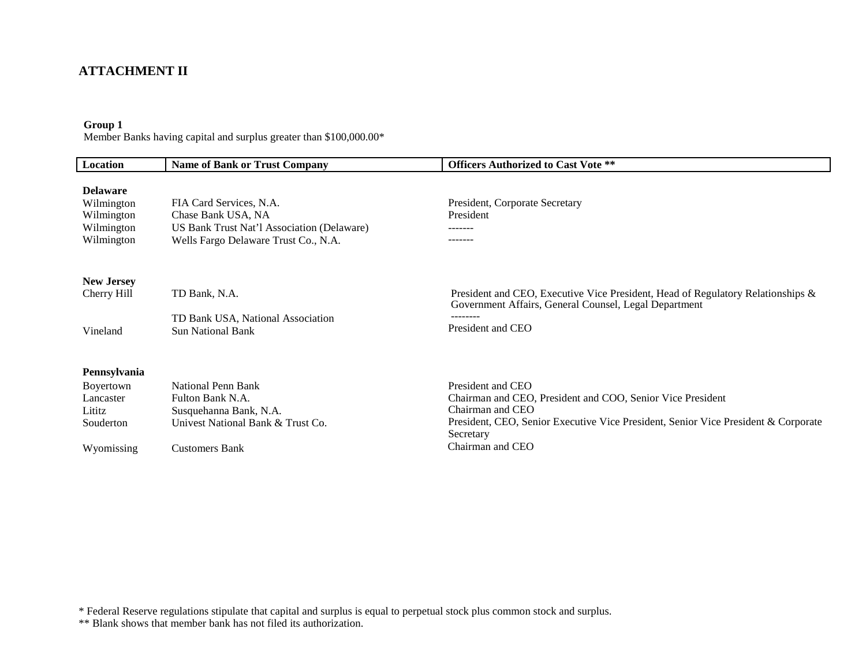## **ATTACHMENT II**

## **Group 1**

Member Banks having capital and surplus greater than \$100,000.00\*

| Location                                                                            | <b>Name of Bank or Trust Company</b>                                                                                                  | <b>Officers Authorized to Cast Vote **</b>                                                                                                                                                                                 |
|-------------------------------------------------------------------------------------|---------------------------------------------------------------------------------------------------------------------------------------|----------------------------------------------------------------------------------------------------------------------------------------------------------------------------------------------------------------------------|
| <b>Delaware</b><br>Wilmington<br>Wilmington<br>Wilmington<br>Wilmington             | FIA Card Services, N.A.<br>Chase Bank USA, NA<br>US Bank Trust Nat'l Association (Delaware)<br>Wells Fargo Delaware Trust Co., N.A.   | President, Corporate Secretary<br>President<br>-------<br>-------                                                                                                                                                          |
| <b>New Jersey</b><br>Cherry Hill<br>Vineland                                        | TD Bank, N.A.<br>TD Bank USA, National Association<br><b>Sun National Bank</b>                                                        | President and CEO, Executive Vice President, Head of Regulatory Relationships &<br>Government Affairs, General Counsel, Legal Department<br>--------<br>President and CEO                                                  |
| Pennsylvania<br><b>B</b> oyertown<br>Lancaster<br>Lititz<br>Souderton<br>Wyomissing | <b>National Penn Bank</b><br>Fulton Bank N.A.<br>Susquehanna Bank, N.A.<br>Univest National Bank & Trust Co.<br><b>Customers Bank</b> | President and CEO<br>Chairman and CEO, President and COO, Senior Vice President<br>Chairman and CEO<br>President, CEO, Senior Executive Vice President, Senior Vice President & Corporate<br>Secretary<br>Chairman and CEO |

<sup>\*</sup> Federal Reserve regulations stipulate that capital and surplus is equal to perpetual stock plus common stock and surplus.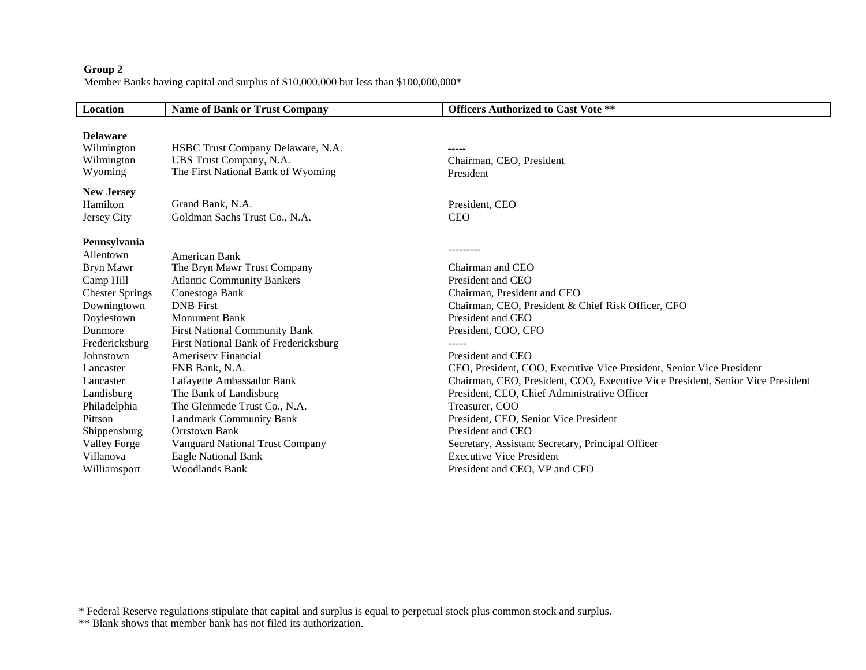## **Group 2** Member Banks having capital and surplus of \$10,000,000 but less than \$100,000,000\*

| Location                                               | <b>Name of Bank or Trust Company</b>                                                               | <b>Officers Authorized to Cast Vote **</b>                                     |
|--------------------------------------------------------|----------------------------------------------------------------------------------------------------|--------------------------------------------------------------------------------|
|                                                        |                                                                                                    |                                                                                |
| <b>Delaware</b><br>Wilmington<br>Wilmington<br>Wyoming | HSBC Trust Company Delaware, N.A.<br>UBS Trust Company, N.A.<br>The First National Bank of Wyoming | -----<br>Chairman, CEO, President<br>President                                 |
| <b>New Jersey</b>                                      |                                                                                                    |                                                                                |
| Hamilton                                               | Grand Bank, N.A.                                                                                   | President, CEO                                                                 |
| Jersey City                                            | Goldman Sachs Trust Co., N.A.                                                                      | <b>CEO</b>                                                                     |
|                                                        |                                                                                                    |                                                                                |
| Pennsylvania<br>Allentown                              | American Bank                                                                                      | ---------                                                                      |
| Bryn Mawr                                              | The Bryn Mawr Trust Company                                                                        | Chairman and CEO                                                               |
| Camp Hill                                              | <b>Atlantic Community Bankers</b>                                                                  | President and CEO                                                              |
| <b>Chester Springs</b>                                 | Conestoga Bank                                                                                     | Chairman, President and CEO                                                    |
| Downingtown                                            | <b>DNB</b> First                                                                                   | Chairman, CEO, President & Chief Risk Officer, CFO                             |
| Doylestown                                             | <b>Monument Bank</b>                                                                               | President and CEO                                                              |
| Dunmore                                                | <b>First National Community Bank</b>                                                               | President, COO, CFO                                                            |
| Fredericksburg                                         | First National Bank of Fredericksburg                                                              | -----                                                                          |
| Johnstown                                              | <b>Amerisery Financial</b>                                                                         | President and CEO                                                              |
| Lancaster                                              | FNB Bank, N.A.                                                                                     | CEO, President, COO, Executive Vice President, Senior Vice President           |
| Lancaster                                              | Lafayette Ambassador Bank                                                                          | Chairman, CEO, President, COO, Executive Vice President, Senior Vice President |
| Landisburg                                             | The Bank of Landisburg                                                                             | President, CEO, Chief Administrative Officer                                   |
| Philadelphia                                           | The Glenmede Trust Co., N.A.                                                                       | Treasurer, COO                                                                 |
| Pittson                                                | Landmark Community Bank                                                                            | President, CEO, Senior Vice President                                          |
| Shippensburg                                           | Orrstown Bank                                                                                      | President and CEO                                                              |
| <b>Valley Forge</b>                                    | <b>Vanguard National Trust Company</b>                                                             | Secretary, Assistant Secretary, Principal Officer                              |
| Villanova                                              | <b>Eagle National Bank</b>                                                                         | <b>Executive Vice President</b>                                                |
| Williamsport                                           | <b>Woodlands Bank</b>                                                                              | President and CEO, VP and CFO                                                  |
|                                                        |                                                                                                    |                                                                                |

<sup>\*</sup> Federal Reserve regulations stipulate that capital and surplus is equal to perpetual stock plus common stock and surplus.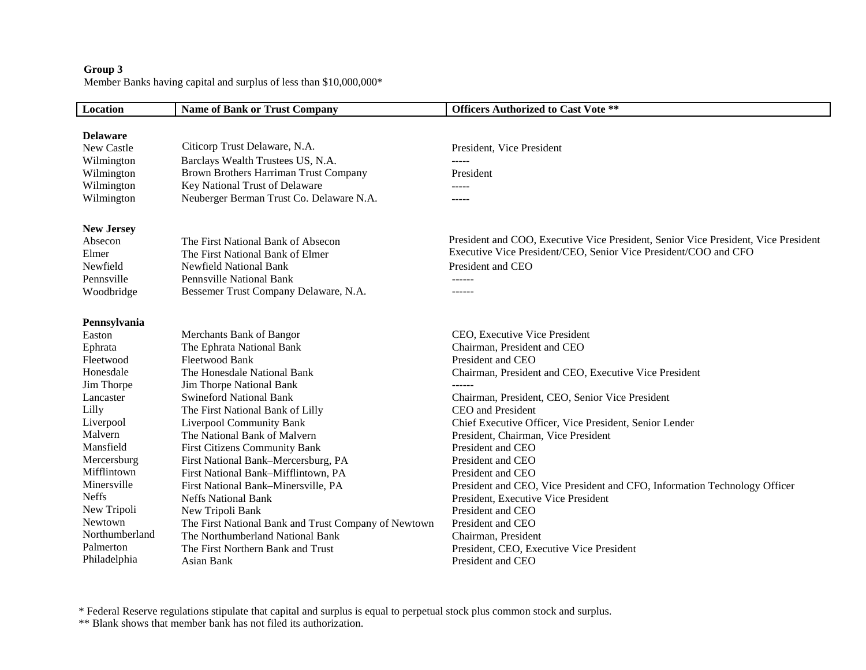## **Group 3** Member Banks having capital and surplus of less than \$10,000,000\*

 $\overline{\phantom{a}}$ 

| Location                      | <b>Name of Bank or Trust Company</b>                 | <b>Officers Authorized to Cast Vote **</b>                                         |
|-------------------------------|------------------------------------------------------|------------------------------------------------------------------------------------|
|                               |                                                      |                                                                                    |
| <b>Delaware</b><br>New Castle | Citicorp Trust Delaware, N.A.                        | President, Vice President                                                          |
| Wilmington                    | Barclays Wealth Trustees US, N.A.                    | $\cdots$                                                                           |
| Wilmington                    | Brown Brothers Harriman Trust Company                | President                                                                          |
| Wilmington                    | Key National Trust of Delaware                       | -----                                                                              |
| Wilmington                    | Neuberger Berman Trust Co. Delaware N.A.             | -----                                                                              |
|                               |                                                      |                                                                                    |
| <b>New Jersey</b>             |                                                      |                                                                                    |
| Absecon                       | The First National Bank of Absecon                   | President and COO, Executive Vice President, Senior Vice President, Vice President |
| Elmer                         | The First National Bank of Elmer                     | Executive Vice President/CEO, Senior Vice President/COO and CFO                    |
| Newfield                      | <b>Newfield National Bank</b>                        | President and CEO                                                                  |
| Pennsville                    | <b>Pennsville National Bank</b>                      | $\frac{1}{2}$                                                                      |
| Woodbridge                    | Bessemer Trust Company Delaware, N.A.                | ------                                                                             |
|                               |                                                      |                                                                                    |
| Pennsylvania                  |                                                      |                                                                                    |
| Easton                        | Merchants Bank of Bangor                             | CEO, Executive Vice President                                                      |
| Ephrata                       | The Ephrata National Bank                            | Chairman, President and CEO                                                        |
| Fleetwood                     | Fleetwood Bank                                       | President and CEO                                                                  |
| Honesdale                     | The Honesdale National Bank                          | Chairman, President and CEO, Executive Vice President                              |
| Jim Thorpe                    | Jim Thorpe National Bank                             |                                                                                    |
| Lancaster                     | <b>Swineford National Bank</b>                       | Chairman, President, CEO, Senior Vice President                                    |
| Lilly                         | The First National Bank of Lilly                     | CEO and President                                                                  |
| Liverpool                     | <b>Liverpool Community Bank</b>                      | Chief Executive Officer, Vice President, Senior Lender                             |
| Malvern                       | The National Bank of Malvern                         | President, Chairman, Vice President                                                |
| Mansfield                     | <b>First Citizens Community Bank</b>                 | President and CEO                                                                  |
| Mercersburg                   | First National Bank-Mercersburg, PA                  | President and CEO                                                                  |
| Mifflintown                   | First National Bank-Mifflintown, PA                  | President and CEO                                                                  |
| Minersville                   | First National Bank-Minersville, PA                  | President and CEO, Vice President and CFO, Information Technology Officer          |
| <b>Neffs</b>                  | <b>Neffs National Bank</b>                           | President, Executive Vice President                                                |
| New Tripoli                   | New Tripoli Bank                                     | President and CEO                                                                  |
| Newtown                       | The First National Bank and Trust Company of Newtown | President and CEO                                                                  |
| Northumberland                | The Northumberland National Bank                     | Chairman, President                                                                |
| Palmerton                     | The First Northern Bank and Trust                    | President, CEO, Executive Vice President                                           |
| Philadelphia                  | Asian Bank                                           | President and CEO                                                                  |

\* Federal Reserve regulations stipulate that capital and surplus is equal to perpetual stock plus common stock and surplus.